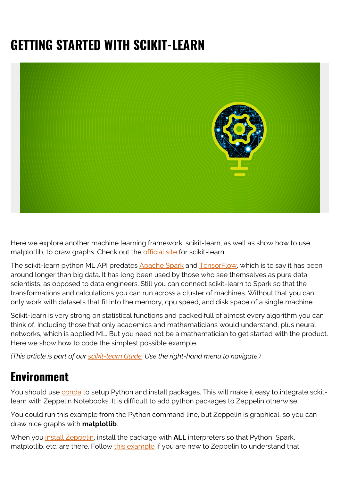# **GETTING STARTED WITH SCIKIT-LEARN**



Here we explore another machine learning framework, scikit-learn, as well as show how to use matplotlib, to draw graphs. Check out the [official site](https://scikit-learn.org/stable/index.html) for scikit-learn.

The scikit-learn python ML API predates [Apache Spark](https://www.bmc.com/blogs/hadoop-apache-spark/) and [TensorFlow,](https://www.bmc.com/blogs/tensorflow-vs-keras/) which is to say it has been around longer than big data. It has long been used by those who see themselves as pure data scientists, as opposed to data engineers. Still you can connect scikit-learn to Spark so that the transformations and calculations you can run across a cluster of machines. Without that you can only work with datasets that fit into the memory, cpu speed, and disk space of a single machine.

Scikit-learn is very strong on statistical functions and packed full of almost every algorithm you can think of, including those that only academics and mathematicians would understand, plus neural networks, which is applied ML. But you need not be a mathematician to get started with the product. Here we show how to code the simplest possible example.

*(This article is part of our [scikit-learn Guide](https://blogs.bmc.com/blogs/scikit-learn/). Use the right-hand menu to navigate.)*

## **Environment**

You should use [conda](https://www.anaconda.com/download/#linux) to setup Python and install packages. This will make it easy to integrate sckitlearn with Zeppelin Notebooks. It is difficult to add python packages to Zeppelin otherwise.

You could run this example from the Python command line, but Zeppelin is graphical, so you can draw nice graphs with **matplotlib**.

When you [install Zeppelin](https://zeppelin.apache.org/download.html), install the package with **ALL** interpreters so that Python, Spark, matplotlib. etc. are there. Follow [this example](https://blogs.bmc.com/using-zeppelin-big-data/) if you are new to Zeppelin to understand that.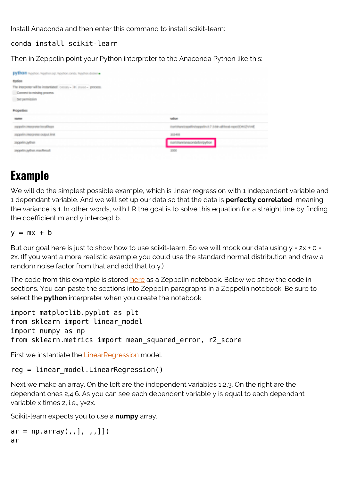Install Anaconda and then enter this command to install scikit-learn:

### conda install scikit-learn

Then in Zeppelin point your Python interpreter to the Anaconda Python like this:

| рубтов полог прентар пологами, пологания<br><b>Papilots</b><br>The integrate will be instantiated contain - its move - process. |                                                                          |
|---------------------------------------------------------------------------------------------------------------------------------|--------------------------------------------------------------------------|
| Comment in industry process.<br>Sell participates                                                                               |                                                                          |
| <b>Properties</b>                                                                                                               |                                                                          |
| <b>Northern</b>                                                                                                                 | week on                                                                  |
| parasolini irtas, y par horadilegas                                                                                             | Analytheral papellin (reportion 8.7 (s bits all food a spo(3) th 32 V of |
| provide into power output limit.                                                                                                | <b>POMPE</b>                                                             |
| <b>Joseph Allen</b>                                                                                                             | discutations or darking affect.                                          |
| Importing Africa machinaut                                                                                                      | <b>SOCK</b>                                                              |

### **Example**

We will do the simplest possible example, which is linear regression with 1 independent variable and 1 dependant variable. And we will set up our data so that the data is **perfectly correlated**, meaning the variance is 1. In other words, with LR the goal is to solve this equation for a straight line by finding the coefficient m and y intercept b.

#### $y = mx + b$

But our goal here is just to show how to use scikit-learn. So we will mock our data using  $y = 2x + 0 =$ 2x. (If you want a more realistic example you could use the standard normal distribution and draw a random noise factor from that and add that to y.)

The code from this example is stored [here](https://github.com/werowe/sckilearnLinearRegression) as a Zeppelin notebook. Below we show the code in sections. You can paste the sections into Zeppelin paragraphs in a Zeppelin notebook. Be sure to select the **python** interpreter when you create the notebook.

```
import matplotlib.pyplot as plt
from sklearn import linear model
import numpy as np
from sklearn.metrics import mean squared error, r2 score
```
First we instantiate the [LinearRegression](https://scikit-learn.org/stable/modules/generated/sklearn.linear_model.LinearRegression.html) model.

#### reg = linear\_model.LinearRegression()

Next we make an array. On the left are the independent variables 1,2,3. On the right are the dependant ones 2,4,6. As you can see each dependent variable y is equal to each dependant variable x times 2, i.e., y=2x.

Scikit-learn expects you to use a **numpy** array.

```
ar = np.array(,,], ,,]]
ar
```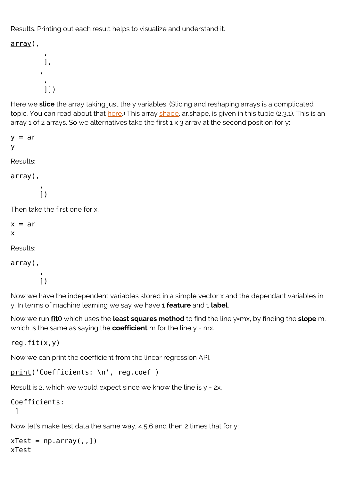Results. Printing out each result helps to visualize and understand it.

array(,

```
, where \mathbf{r} ],
, where \mathbf{r}, where \mathbf{r} ]])
```
Here we **slice** the array taking just the y variables. (Slicing and reshaping arrays is a complicated topic. You can read about that [here.](https://docs.scipy.org/doc/numpy-1.13.0/reference/arrays.indexing.html)) This array [shape,](https://docs.scipy.org/doc/numpy-1.14.0/reference/generated/numpy.ndarray.shape.html) ar.shape, is given in this tuple (2,3,1). This is an array 1 of 2 arrays. So we alternatives take the first  $1 \times 3$  array at the second position for y:

 $v = ar$ y

Results:

### array(,

, where  $\mathbf{r}$ ])

Then take the first one for x.

 $x = ar$ x

Results:

array(,

, where  $\mathbf{r}$ ])

Now we have the independent variables stored in a simple vector x and the dependant variables in y. In terms of machine learning we say we have 1 **feature** and 1 **label**.

Now we run **fit()** which uses the **least squares method** to find the line y=mx, by finding the **slope** m, which is the same as saying the **coefficient** m for the line y = mx.

reg.fit $(x,y)$ 

Now we can print the coefficient from the linear regression API.

```
print('Coefficients: \n', reg.coef)
```
Result is 2, which we would expect since we know the line is  $y = 2x$ .

```
Coefficients:
  ]
```
Now let's make test data the same way, 4,5,6 and then 2 times that for y:

 $xTest = np.array($ ,  $)$ xTest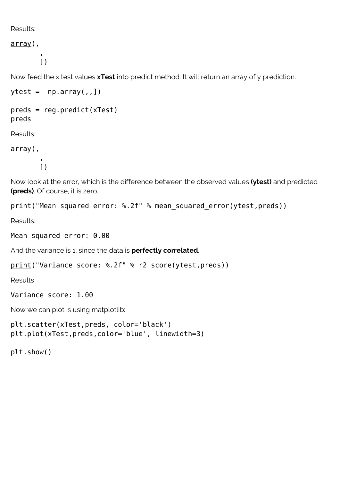Results:

array(,

, where  $\mathbf{r}$ ])

Now feed the x test values **xTest** into predict method. It will return an array of y prediction.

```
ytest = np.array(, , ])
```

```
preds = reg.predict(xTest)
preds
```
Results:

array(,

, where  $\mathbf{r}$ ])

Now look at the error, which is the difference between the observed values **(ytest)** and predicted **(preds)**. Of course, it is zero.

print("Mean squared error: %.2f" % mean squared error(ytest,preds))

Results:

```
Mean squared error: 0.00
```
And the variance is 1, since the data is **perfectly correlated**.

```
print("Variance score: %.2f" % r2 score(ytest,preds))
```
Results

Variance score: 1.00

Now we can plot is using matplotlib:

```
plt.scatter(xTest,preds, color='black')
plt.plot(xTest,preds,color='blue', linewidth=3)
```
plt.show()